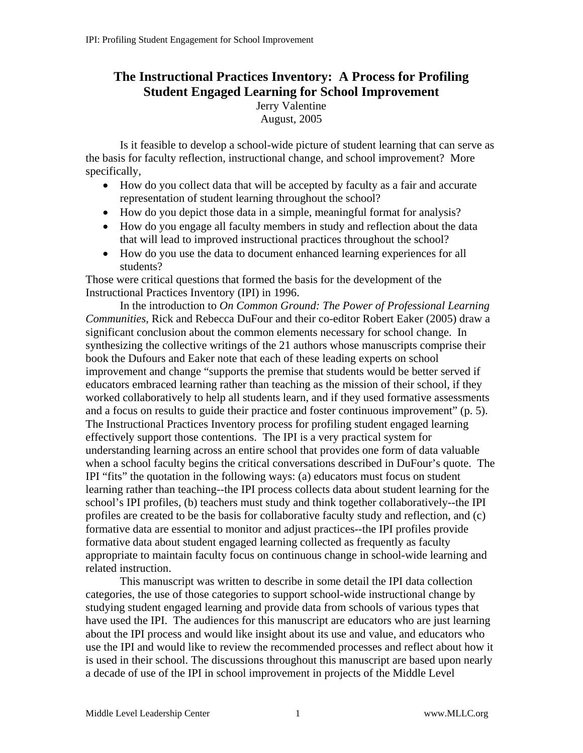# **The Instructional Practices Inventory: A Process for Profiling Student Engaged Learning for School Improvement**

Jerry Valentine August, 2005

Is it feasible to develop a school-wide picture of student learning that can serve as the basis for faculty reflection, instructional change, and school improvement? More specifically,

- How do you collect data that will be accepted by faculty as a fair and accurate representation of student learning throughout the school?
- How do you depict those data in a simple, meaningful format for analysis?
- How do you engage all faculty members in study and reflection about the data that will lead to improved instructional practices throughout the school?
- How do you use the data to document enhanced learning experiences for all students?

Those were critical questions that formed the basis for the development of the Instructional Practices Inventory (IPI) in 1996.

In the introduction to *On Common Ground: The Power of Professional Learning Communities*, Rick and Rebecca DuFour and their co-editor Robert Eaker (2005) draw a significant conclusion about the common elements necessary for school change. In synthesizing the collective writings of the 21 authors whose manuscripts comprise their book the Dufours and Eaker note that each of these leading experts on school improvement and change "supports the premise that students would be better served if educators embraced learning rather than teaching as the mission of their school, if they worked collaboratively to help all students learn, and if they used formative assessments and a focus on results to guide their practice and foster continuous improvement" (p. 5). The Instructional Practices Inventory process for profiling student engaged learning effectively support those contentions. The IPI is a very practical system for understanding learning across an entire school that provides one form of data valuable when a school faculty begins the critical conversations described in DuFour's quote. The IPI "fits" the quotation in the following ways: (a) educators must focus on student learning rather than teaching--the IPI process collects data about student learning for the school's IPI profiles, (b) teachers must study and think together collaboratively--the IPI profiles are created to be the basis for collaborative faculty study and reflection, and (c) formative data are essential to monitor and adjust practices--the IPI profiles provide formative data about student engaged learning collected as frequently as faculty appropriate to maintain faculty focus on continuous change in school-wide learning and related instruction.

This manuscript was written to describe in some detail the IPI data collection categories, the use of those categories to support school-wide instructional change by studying student engaged learning and provide data from schools of various types that have used the IPI. The audiences for this manuscript are educators who are just learning about the IPI process and would like insight about its use and value, and educators who use the IPI and would like to review the recommended processes and reflect about how it is used in their school. The discussions throughout this manuscript are based upon nearly a decade of use of the IPI in school improvement in projects of the Middle Level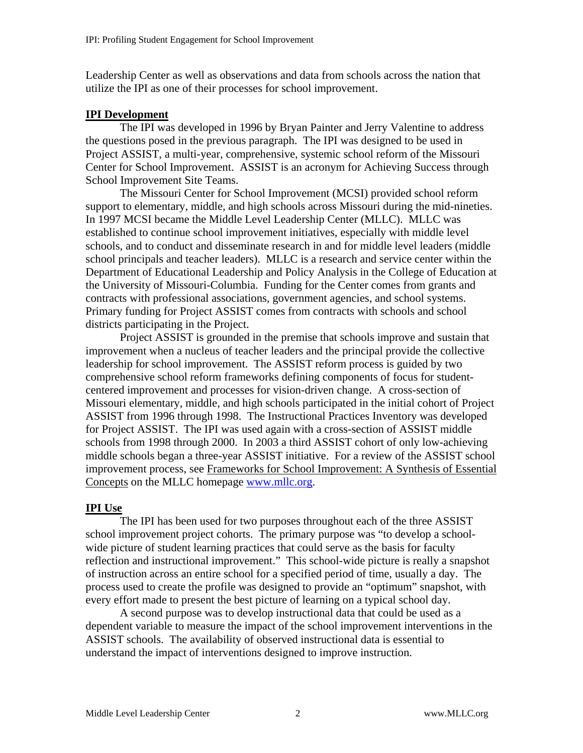Leadership Center as well as observations and data from schools across the nation that utilize the IPI as one of their processes for school improvement.

### **IPI Development**

The IPI was developed in 1996 by Bryan Painter and Jerry Valentine to address the questions posed in the previous paragraph. The IPI was designed to be used in Project ASSIST, a multi-year, comprehensive, systemic school reform of the Missouri Center for School Improvement. ASSIST is an acronym for Achieving Success through School Improvement Site Teams.

The Missouri Center for School Improvement (MCSI) provided school reform support to elementary, middle, and high schools across Missouri during the mid-nineties. In 1997 MCSI became the Middle Level Leadership Center (MLLC). MLLC was established to continue school improvement initiatives, especially with middle level schools, and to conduct and disseminate research in and for middle level leaders (middle school principals and teacher leaders). MLLC is a research and service center within the Department of Educational Leadership and Policy Analysis in the College of Education at the University of Missouri-Columbia. Funding for the Center comes from grants and contracts with professional associations, government agencies, and school systems. Primary funding for Project ASSIST comes from contracts with schools and school districts participating in the Project.

Project ASSIST is grounded in the premise that schools improve and sustain that improvement when a nucleus of teacher leaders and the principal provide the collective leadership for school improvement. The ASSIST reform process is guided by two comprehensive school reform frameworks defining components of focus for studentcentered improvement and processes for vision-driven change. A cross-section of Missouri elementary, middle, and high schools participated in the initial cohort of Project ASSIST from 1996 through 1998. The Instructional Practices Inventory was developed for Project ASSIST. The IPI was used again with a cross-section of ASSIST middle schools from 1998 through 2000. In 2003 a third ASSIST cohort of only low-achieving middle schools began a three-year ASSIST initiative. For a review of the ASSIST school improvement process, see Frameworks for School Improvement: A Synthesis of Essential Concepts on the MLLC homepage [www.mllc.org](http://www.mllc.org/).

## **IPI Use**

The IPI has been used for two purposes throughout each of the three ASSIST school improvement project cohorts. The primary purpose was "to develop a schoolwide picture of student learning practices that could serve as the basis for faculty reflection and instructional improvement." This school-wide picture is really a snapshot of instruction across an entire school for a specified period of time, usually a day. The process used to create the profile was designed to provide an "optimum" snapshot, with every effort made to present the best picture of learning on a typical school day.

A second purpose was to develop instructional data that could be used as a dependent variable to measure the impact of the school improvement interventions in the ASSIST schools. The availability of observed instructional data is essential to understand the impact of interventions designed to improve instruction.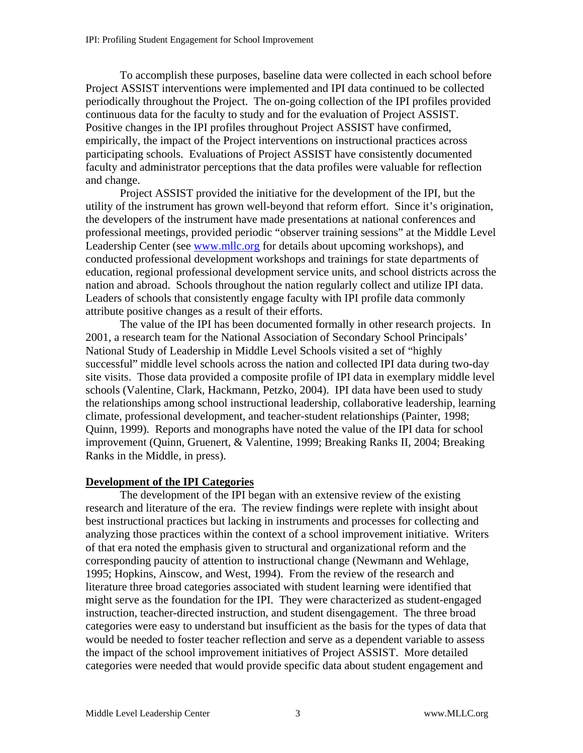To accomplish these purposes, baseline data were collected in each school before Project ASSIST interventions were implemented and IPI data continued to be collected periodically throughout the Project. The on-going collection of the IPI profiles provided continuous data for the faculty to study and for the evaluation of Project ASSIST. Positive changes in the IPI profiles throughout Project ASSIST have confirmed, empirically, the impact of the Project interventions on instructional practices across participating schools. Evaluations of Project ASSIST have consistently documented faculty and administrator perceptions that the data profiles were valuable for reflection and change.

Project ASSIST provided the initiative for the development of the IPI, but the utility of the instrument has grown well-beyond that reform effort. Since it's origination, the developers of the instrument have made presentations at national conferences and professional meetings, provided periodic "observer training sessions" at the Middle Level Leadership Center (see [www.mllc.org](http://www.mllc.org/) for details about upcoming workshops), and conducted professional development workshops and trainings for state departments of education, regional professional development service units, and school districts across the nation and abroad. Schools throughout the nation regularly collect and utilize IPI data. Leaders of schools that consistently engage faculty with IPI profile data commonly attribute positive changes as a result of their efforts.

The value of the IPI has been documented formally in other research projects. In 2001, a research team for the National Association of Secondary School Principals' National Study of Leadership in Middle Level Schools visited a set of "highly successful" middle level schools across the nation and collected IPI data during two-day site visits. Those data provided a composite profile of IPI data in exemplary middle level schools (Valentine, Clark, Hackmann, Petzko, 2004). IPI data have been used to study the relationships among school instructional leadership, collaborative leadership, learning climate, professional development, and teacher-student relationships (Painter, 1998; Quinn, 1999). Reports and monographs have noted the value of the IPI data for school improvement (Quinn, Gruenert, & Valentine, 1999; Breaking Ranks II, 2004; Breaking Ranks in the Middle, in press).

## **Development of the IPI Categories**

The development of the IPI began with an extensive review of the existing research and literature of the era. The review findings were replete with insight about best instructional practices but lacking in instruments and processes for collecting and analyzing those practices within the context of a school improvement initiative. Writers of that era noted the emphasis given to structural and organizational reform and the corresponding paucity of attention to instructional change (Newmann and Wehlage, 1995; Hopkins, Ainscow, and West, 1994). From the review of the research and literature three broad categories associated with student learning were identified that might serve as the foundation for the IPI. They were characterized as student-engaged instruction, teacher-directed instruction, and student disengagement. The three broad categories were easy to understand but insufficient as the basis for the types of data that would be needed to foster teacher reflection and serve as a dependent variable to assess the impact of the school improvement initiatives of Project ASSIST. More detailed categories were needed that would provide specific data about student engagement and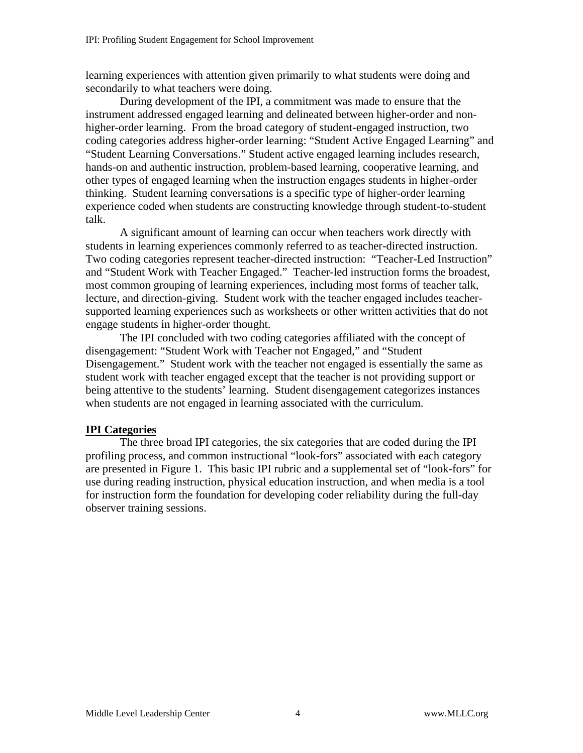learning experiences with attention given primarily to what students were doing and secondarily to what teachers were doing.

During development of the IPI, a commitment was made to ensure that the instrument addressed engaged learning and delineated between higher-order and nonhigher-order learning. From the broad category of student-engaged instruction, two coding categories address higher-order learning: "Student Active Engaged Learning" and "Student Learning Conversations." Student active engaged learning includes research, hands-on and authentic instruction, problem-based learning, cooperative learning, and other types of engaged learning when the instruction engages students in higher-order thinking. Student learning conversations is a specific type of higher-order learning experience coded when students are constructing knowledge through student-to-student talk.

A significant amount of learning can occur when teachers work directly with students in learning experiences commonly referred to as teacher-directed instruction. Two coding categories represent teacher-directed instruction: "Teacher-Led Instruction" and "Student Work with Teacher Engaged." Teacher-led instruction forms the broadest, most common grouping of learning experiences, including most forms of teacher talk, lecture, and direction-giving. Student work with the teacher engaged includes teachersupported learning experiences such as worksheets or other written activities that do not engage students in higher-order thought.

The IPI concluded with two coding categories affiliated with the concept of disengagement: "Student Work with Teacher not Engaged," and "Student Disengagement." Student work with the teacher not engaged is essentially the same as student work with teacher engaged except that the teacher is not providing support or being attentive to the students' learning. Student disengagement categorizes instances when students are not engaged in learning associated with the curriculum.

#### **IPI Categories**

The three broad IPI categories, the six categories that are coded during the IPI profiling process, and common instructional "look-fors" associated with each category are presented in Figure 1. This basic IPI rubric and a supplemental set of "look-fors" for use during reading instruction, physical education instruction, and when media is a tool for instruction form the foundation for developing coder reliability during the full-day observer training sessions.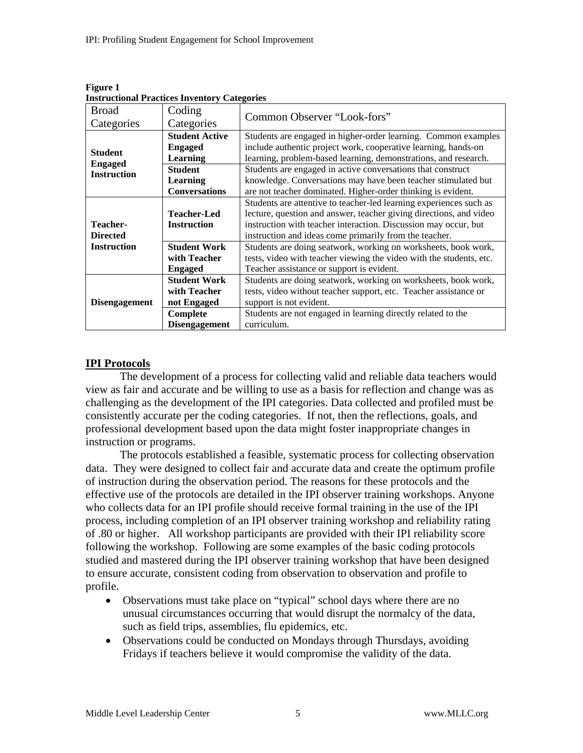| msu uchonai 1 racuces myentory categories                      |                                                                                                                                                                                                                                                                       |  |  |  |
|----------------------------------------------------------------|-----------------------------------------------------------------------------------------------------------------------------------------------------------------------------------------------------------------------------------------------------------------------|--|--|--|
| Coding<br>Categories                                           | Common Observer "Look-fors"                                                                                                                                                                                                                                           |  |  |  |
| <b>Student Active</b><br><b>Engaged</b><br>Learning            | Students are engaged in higher-order learning. Common examples<br>include authentic project work, cooperative learning, hands-on<br>learning, problem-based learning, demonstrations, and research.                                                                   |  |  |  |
| <b>Student</b><br>Learning<br><b>Conversations</b>             | Students are engaged in active conversations that construct<br>knowledge. Conversations may have been teacher stimulated but<br>are not teacher dominated. Higher-order thinking is evident.                                                                          |  |  |  |
| <b>Teacher-Led</b><br><b>Instruction</b>                       | Students are attentive to teacher-led learning experiences such as<br>lecture, question and answer, teacher giving directions, and video<br>instruction with teacher interaction. Discussion may occur, but<br>instruction and ideas come primarily from the teacher. |  |  |  |
| <b>Student Work</b><br>with Teacher<br><b>Engaged</b>          | Students are doing seatwork, working on worksheets, book work,<br>tests, video with teacher viewing the video with the students, etc.<br>Teacher assistance or support is evident.                                                                                    |  |  |  |
| <b>Student Work</b><br>with Teacher<br>not Engaged<br>Complete | Students are doing seatwork, working on worksheets, book work,<br>tests, video without teacher support, etc. Teacher assistance or<br>support is not evident.<br>Students are not engaged in learning directly related to the<br>curriculum.                          |  |  |  |
|                                                                | <b>Disengagement</b>                                                                                                                                                                                                                                                  |  |  |  |

**Figure 1 Instructional Practices Inventory Categories** 

## **IPI Protocols**

The development of a process for collecting valid and reliable data teachers would view as fair and accurate and be willing to use as a basis for reflection and change was as challenging as the development of the IPI categories. Data collected and profiled must be consistently accurate per the coding categories. If not, then the reflections, goals, and professional development based upon the data might foster inappropriate changes in instruction or programs.

The protocols established a feasible, systematic process for collecting observation data. They were designed to collect fair and accurate data and create the optimum profile of instruction during the observation period. The reasons for these protocols and the effective use of the protocols are detailed in the IPI observer training workshops. Anyone who collects data for an IPI profile should receive formal training in the use of the IPI process, including completion of an IPI observer training workshop and reliability rating of .80 or higher. All workshop participants are provided with their IPI reliability score following the workshop. Following are some examples of the basic coding protocols studied and mastered during the IPI observer training workshop that have been designed to ensure accurate, consistent coding from observation to observation and profile to profile.

- Observations must take place on "typical" school days where there are no unusual circumstances occurring that would disrupt the normalcy of the data, such as field trips, assemblies, flu epidemics, etc.
- Observations could be conducted on Mondays through Thursdays, avoiding Fridays if teachers believe it would compromise the validity of the data.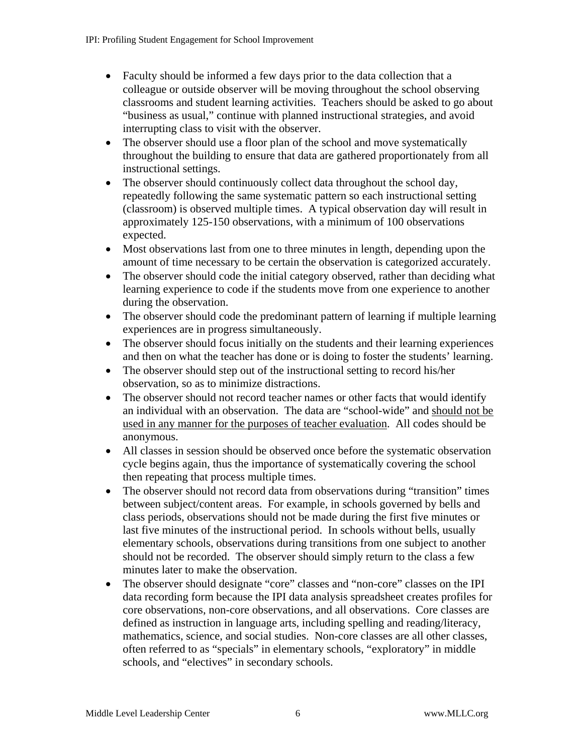- Faculty should be informed a few days prior to the data collection that a colleague or outside observer will be moving throughout the school observing classrooms and student learning activities. Teachers should be asked to go about "business as usual," continue with planned instructional strategies, and avoid interrupting class to visit with the observer.
- The observer should use a floor plan of the school and move systematically throughout the building to ensure that data are gathered proportionately from all instructional settings.
- The observer should continuously collect data throughout the school day, repeatedly following the same systematic pattern so each instructional setting (classroom) is observed multiple times. A typical observation day will result in approximately 125-150 observations, with a minimum of 100 observations expected.
- Most observations last from one to three minutes in length, depending upon the amount of time necessary to be certain the observation is categorized accurately.
- The observer should code the initial category observed, rather than deciding what learning experience to code if the students move from one experience to another during the observation.
- The observer should code the predominant pattern of learning if multiple learning experiences are in progress simultaneously.
- The observer should focus initially on the students and their learning experiences and then on what the teacher has done or is doing to foster the students' learning.
- The observer should step out of the instructional setting to record his/her observation, so as to minimize distractions.
- The observer should not record teacher names or other facts that would identify an individual with an observation. The data are "school-wide" and should not be used in any manner for the purposes of teacher evaluation. All codes should be anonymous.
- All classes in session should be observed once before the systematic observation cycle begins again, thus the importance of systematically covering the school then repeating that process multiple times.
- The observer should not record data from observations during "transition" times between subject/content areas. For example, in schools governed by bells and class periods, observations should not be made during the first five minutes or last five minutes of the instructional period. In schools without bells, usually elementary schools, observations during transitions from one subject to another should not be recorded. The observer should simply return to the class a few minutes later to make the observation.
- The observer should designate "core" classes and "non-core" classes on the IPI data recording form because the IPI data analysis spreadsheet creates profiles for core observations, non-core observations, and all observations. Core classes are defined as instruction in language arts, including spelling and reading/literacy, mathematics, science, and social studies. Non-core classes are all other classes, often referred to as "specials" in elementary schools, "exploratory" in middle schools, and "electives" in secondary schools.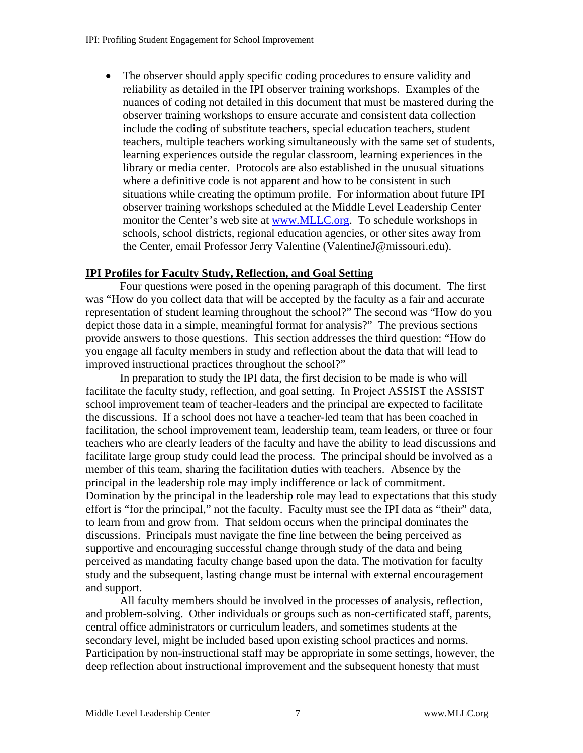• The observer should apply specific coding procedures to ensure validity and reliability as detailed in the IPI observer training workshops. Examples of the nuances of coding not detailed in this document that must be mastered during the observer training workshops to ensure accurate and consistent data collection include the coding of substitute teachers, special education teachers, student teachers, multiple teachers working simultaneously with the same set of students, learning experiences outside the regular classroom, learning experiences in the library or media center. Protocols are also established in the unusual situations where a definitive code is not apparent and how to be consistent in such situations while creating the optimum profile. For information about future IPI observer training workshops scheduled at the Middle Level Leadership Center monitor the Center's web site at [www.MLLC.org](http://www.mllc.org/). To schedule workshops in schools, school districts, regional education agencies, or other sites away from the Center, email Professor Jerry Valentine (ValentineJ@missouri.edu).

### **IPI Profiles for Faculty Study, Reflection, and Goal Setting**

Four questions were posed in the opening paragraph of this document. The first was "How do you collect data that will be accepted by the faculty as a fair and accurate representation of student learning throughout the school?" The second was "How do you depict those data in a simple, meaningful format for analysis?" The previous sections provide answers to those questions. This section addresses the third question: "How do you engage all faculty members in study and reflection about the data that will lead to improved instructional practices throughout the school?"

 In preparation to study the IPI data, the first decision to be made is who will facilitate the faculty study, reflection, and goal setting. In Project ASSIST the ASSIST school improvement team of teacher-leaders and the principal are expected to facilitate the discussions. If a school does not have a teacher-led team that has been coached in facilitation, the school improvement team, leadership team, team leaders, or three or four teachers who are clearly leaders of the faculty and have the ability to lead discussions and facilitate large group study could lead the process. The principal should be involved as a member of this team, sharing the facilitation duties with teachers. Absence by the principal in the leadership role may imply indifference or lack of commitment. Domination by the principal in the leadership role may lead to expectations that this study effort is "for the principal," not the faculty. Faculty must see the IPI data as "their" data, to learn from and grow from. That seldom occurs when the principal dominates the discussions. Principals must navigate the fine line between the being perceived as supportive and encouraging successful change through study of the data and being perceived as mandating faculty change based upon the data. The motivation for faculty study and the subsequent, lasting change must be internal with external encouragement and support.

All faculty members should be involved in the processes of analysis, reflection, and problem-solving. Other individuals or groups such as non-certificated staff, parents, central office administrators or curriculum leaders, and sometimes students at the secondary level, might be included based upon existing school practices and norms. Participation by non-instructional staff may be appropriate in some settings, however, the deep reflection about instructional improvement and the subsequent honesty that must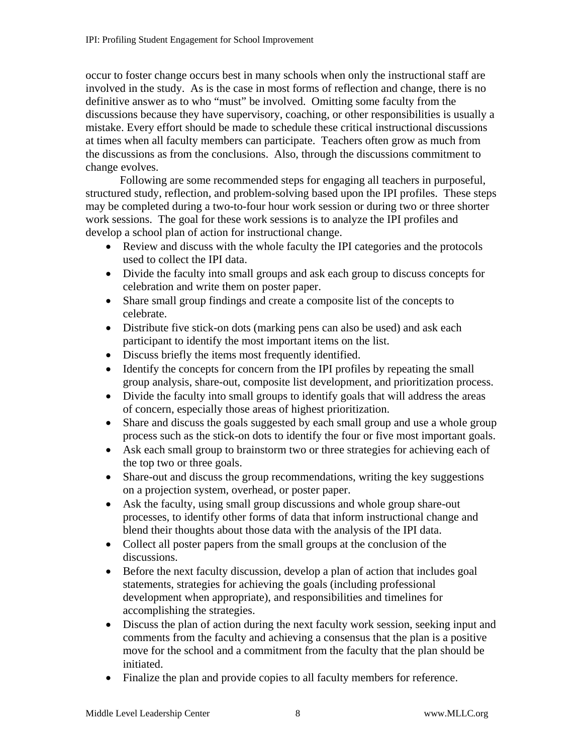occur to foster change occurs best in many schools when only the instructional staff are involved in the study. As is the case in most forms of reflection and change, there is no definitive answer as to who "must" be involved. Omitting some faculty from the discussions because they have supervisory, coaching, or other responsibilities is usually a mistake. Every effort should be made to schedule these critical instructional discussions at times when all faculty members can participate. Teachers often grow as much from the discussions as from the conclusions. Also, through the discussions commitment to change evolves.

Following are some recommended steps for engaging all teachers in purposeful, structured study, reflection, and problem-solving based upon the IPI profiles. These steps may be completed during a two-to-four hour work session or during two or three shorter work sessions. The goal for these work sessions is to analyze the IPI profiles and develop a school plan of action for instructional change.

- Review and discuss with the whole faculty the IPI categories and the protocols used to collect the IPI data.
- Divide the faculty into small groups and ask each group to discuss concepts for celebration and write them on poster paper.
- Share small group findings and create a composite list of the concepts to celebrate.
- Distribute five stick-on dots (marking pens can also be used) and ask each participant to identify the most important items on the list.
- Discuss briefly the items most frequently identified.
- Identify the concepts for concern from the IPI profiles by repeating the small group analysis, share-out, composite list development, and prioritization process.
- Divide the faculty into small groups to identify goals that will address the areas of concern, especially those areas of highest prioritization.
- Share and discuss the goals suggested by each small group and use a whole group process such as the stick-on dots to identify the four or five most important goals.
- Ask each small group to brainstorm two or three strategies for achieving each of the top two or three goals.
- Share-out and discuss the group recommendations, writing the key suggestions on a projection system, overhead, or poster paper.
- Ask the faculty, using small group discussions and whole group share-out processes, to identify other forms of data that inform instructional change and blend their thoughts about those data with the analysis of the IPI data.
- Collect all poster papers from the small groups at the conclusion of the discussions.
- Before the next faculty discussion, develop a plan of action that includes goal statements, strategies for achieving the goals (including professional development when appropriate), and responsibilities and timelines for accomplishing the strategies.
- Discuss the plan of action during the next faculty work session, seeking input and comments from the faculty and achieving a consensus that the plan is a positive move for the school and a commitment from the faculty that the plan should be initiated.
- Finalize the plan and provide copies to all faculty members for reference.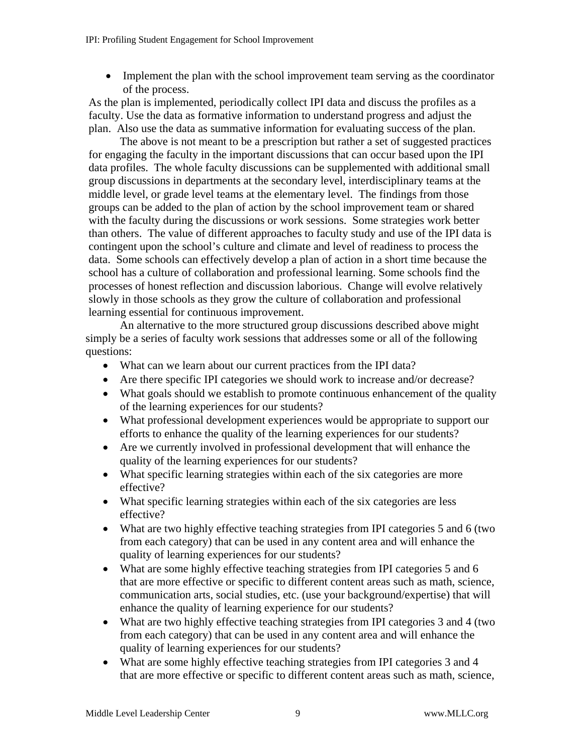• Implement the plan with the school improvement team serving as the coordinator of the process.

As the plan is implemented, periodically collect IPI data and discuss the profiles as a faculty. Use the data as formative information to understand progress and adjust the plan. Also use the data as summative information for evaluating success of the plan.

The above is not meant to be a prescription but rather a set of suggested practices for engaging the faculty in the important discussions that can occur based upon the IPI data profiles. The whole faculty discussions can be supplemented with additional small group discussions in departments at the secondary level, interdisciplinary teams at the middle level, or grade level teams at the elementary level. The findings from those groups can be added to the plan of action by the school improvement team or shared with the faculty during the discussions or work sessions. Some strategies work better than others. The value of different approaches to faculty study and use of the IPI data is contingent upon the school's culture and climate and level of readiness to process the data. Some schools can effectively develop a plan of action in a short time because the school has a culture of collaboration and professional learning. Some schools find the processes of honest reflection and discussion laborious. Change will evolve relatively slowly in those schools as they grow the culture of collaboration and professional learning essential for continuous improvement.

An alternative to the more structured group discussions described above might simply be a series of faculty work sessions that addresses some or all of the following questions:

- What can we learn about our current practices from the IPI data?
- Are there specific IPI categories we should work to increase and/or decrease?
- What goals should we establish to promote continuous enhancement of the quality of the learning experiences for our students?
- What professional development experiences would be appropriate to support our efforts to enhance the quality of the learning experiences for our students?
- Are we currently involved in professional development that will enhance the quality of the learning experiences for our students?
- What specific learning strategies within each of the six categories are more effective?
- What specific learning strategies within each of the six categories are less effective?
- What are two highly effective teaching strategies from IPI categories 5 and 6 (two from each category) that can be used in any content area and will enhance the quality of learning experiences for our students?
- What are some highly effective teaching strategies from IPI categories 5 and 6 that are more effective or specific to different content areas such as math, science, communication arts, social studies, etc. (use your background/expertise) that will enhance the quality of learning experience for our students?
- What are two highly effective teaching strategies from IPI categories 3 and 4 (two from each category) that can be used in any content area and will enhance the quality of learning experiences for our students?
- What are some highly effective teaching strategies from IPI categories 3 and 4 that are more effective or specific to different content areas such as math, science,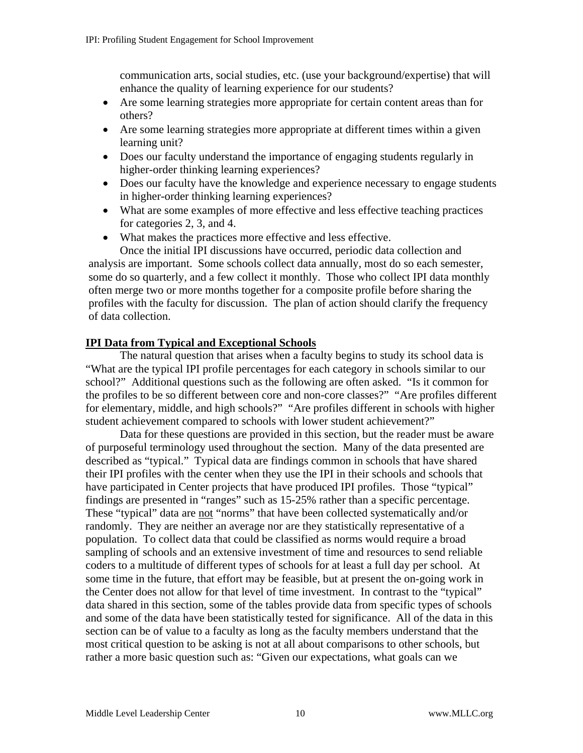communication arts, social studies, etc. (use your background/expertise) that will enhance the quality of learning experience for our students?

- Are some learning strategies more appropriate for certain content areas than for others?
- Are some learning strategies more appropriate at different times within a given learning unit?
- Does our faculty understand the importance of engaging students regularly in higher-order thinking learning experiences?
- Does our faculty have the knowledge and experience necessary to engage students in higher-order thinking learning experiences?
- What are some examples of more effective and less effective teaching practices for categories 2, 3, and 4.
- What makes the practices more effective and less effective.

Once the initial IPI discussions have occurred, periodic data collection and analysis are important. Some schools collect data annually, most do so each semester, some do so quarterly, and a few collect it monthly. Those who collect IPI data monthly often merge two or more months together for a composite profile before sharing the profiles with the faculty for discussion. The plan of action should clarify the frequency of data collection.

## **IPI Data from Typical and Exceptional Schools**

 The natural question that arises when a faculty begins to study its school data is "What are the typical IPI profile percentages for each category in schools similar to our school?" Additional questions such as the following are often asked. "Is it common for the profiles to be so different between core and non-core classes?" "Are profiles different for elementary, middle, and high schools?" "Are profiles different in schools with higher student achievement compared to schools with lower student achievement?"

Data for these questions are provided in this section, but the reader must be aware of purposeful terminology used throughout the section. Many of the data presented are described as "typical." Typical data are findings common in schools that have shared their IPI profiles with the center when they use the IPI in their schools and schools that have participated in Center projects that have produced IPI profiles. Those "typical" findings are presented in "ranges" such as 15-25% rather than a specific percentage. These "typical" data are not "norms" that have been collected systematically and/or randomly. They are neither an average nor are they statistically representative of a population. To collect data that could be classified as norms would require a broad sampling of schools and an extensive investment of time and resources to send reliable coders to a multitude of different types of schools for at least a full day per school. At some time in the future, that effort may be feasible, but at present the on-going work in the Center does not allow for that level of time investment. In contrast to the "typical" data shared in this section, some of the tables provide data from specific types of schools and some of the data have been statistically tested for significance. All of the data in this section can be of value to a faculty as long as the faculty members understand that the most critical question to be asking is not at all about comparisons to other schools, but rather a more basic question such as: "Given our expectations, what goals can we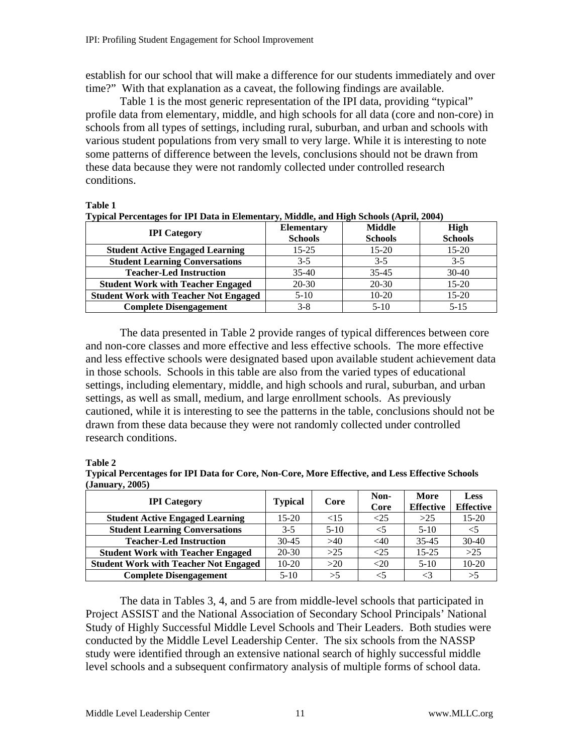establish for our school that will make a difference for our students immediately and over time?" With that explanation as a caveat, the following findings are available.

Table 1 is the most generic representation of the IPI data, providing "typical" profile data from elementary, middle, and high schools for all data (core and non-core) in schools from all types of settings, including rural, suburban, and urban and schools with various student populations from very small to very large. While it is interesting to note some patterns of difference between the levels, conclusions should not be drawn from these data because they were not randomly collected under controlled research conditions.

#### **Table 1**

| турісан і сисеннадся гон ти і дана ни іленісними уувивансу ана тиіди всибовя (турину 2004) |                   |                |                |  |
|--------------------------------------------------------------------------------------------|-------------------|----------------|----------------|--|
| <b>IPI</b> Category                                                                        | <b>Elementary</b> | <b>Middle</b>  | <b>High</b>    |  |
|                                                                                            | <b>Schools</b>    | <b>Schools</b> | <b>Schools</b> |  |
| <b>Student Active Engaged Learning</b>                                                     | $15 - 25$         | $15 - 20$      | $15-20$        |  |
| <b>Student Learning Conversations</b>                                                      | $3-5$             | $3-5$          | $3-5$          |  |
| <b>Teacher-Led Instruction</b>                                                             | $35-40$           | $35 - 45$      | $30-40$        |  |
| <b>Student Work with Teacher Engaged</b>                                                   | $20-30$           | $20 - 30$      | $15-20$        |  |
| <b>Student Work with Teacher Not Engaged</b>                                               | $5-10$            | $10 - 20$      | $15-20$        |  |
| <b>Complete Disengagement</b>                                                              | $3 - 8$           | $5-10$         | $5 - 15$       |  |

**Typical Percentages for IPI Data in Elementary, Middle, and High Schools (April, 2004)** 

 The data presented in Table 2 provide ranges of typical differences between core and non-core classes and more effective and less effective schools. The more effective and less effective schools were designated based upon available student achievement data in those schools. Schools in this table are also from the varied types of educational settings, including elementary, middle, and high schools and rural, suburban, and urban settings, as well as small, medium, and large enrollment schools. As previously cautioned, while it is interesting to see the patterns in the table, conclusions should not be drawn from these data because they were not randomly collected under controlled research conditions.

#### **Table 2**

**Typical Percentages for IPI Data for Core, Non-Core, More Effective, and Less Effective Schools (January, 2005)** 

| <b>IPI</b> Category                          | <b>Typical</b> | Core    | Non-<br>Core | More<br><b>Effective</b> | Less<br><b>Effective</b> |
|----------------------------------------------|----------------|---------|--------------|--------------------------|--------------------------|
| <b>Student Active Engaged Learning</b>       | $15-20$        | ${<}15$ | $<$ 25       | >25                      | $15 - 20$                |
| <b>Student Learning Conversations</b>        | $3-5$          | $5-10$  | $<$ 5        | $5 - 10$                 | $<$ 5                    |
| <b>Teacher-Led Instruction</b>               | $30-45$        | >40     | $<$ 40       | $35 - 45$                | $30-40$                  |
| <b>Student Work with Teacher Engaged</b>     | $20-30$        | $>25$   | $<$ 25       | $15 - 25$                | $>25$                    |
| <b>Student Work with Teacher Not Engaged</b> | $10-20$        | >20     | $<$ 20       | $5-10$                   | $10-20$                  |
| <b>Complete Disengagement</b>                | $5-10$         | >5      | $<$ 5        | <3                       | >5                       |

 The data in Tables 3, 4, and 5 are from middle-level schools that participated in Project ASSIST and the National Association of Secondary School Principals' National Study of Highly Successful Middle Level Schools and Their Leaders. Both studies were conducted by the Middle Level Leadership Center. The six schools from the NASSP study were identified through an extensive national search of highly successful middle level schools and a subsequent confirmatory analysis of multiple forms of school data.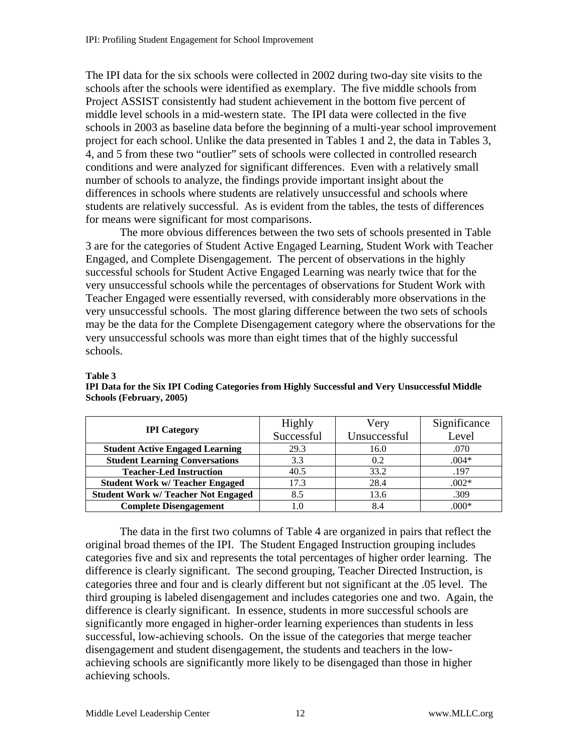The IPI data for the six schools were collected in 2002 during two-day site visits to the schools after the schools were identified as exemplary. The five middle schools from Project ASSIST consistently had student achievement in the bottom five percent of middle level schools in a mid-western state. The IPI data were collected in the five schools in 2003 as baseline data before the beginning of a multi-year school improvement project for each school. Unlike the data presented in Tables 1 and 2, the data in Tables 3, 4, and 5 from these two "outlier" sets of schools were collected in controlled research conditions and were analyzed for significant differences. Even with a relatively small number of schools to analyze, the findings provide important insight about the differences in schools where students are relatively unsuccessful and schools where students are relatively successful. As is evident from the tables, the tests of differences for means were significant for most comparisons.

The more obvious differences between the two sets of schools presented in Table 3 are for the categories of Student Active Engaged Learning, Student Work with Teacher Engaged, and Complete Disengagement. The percent of observations in the highly successful schools for Student Active Engaged Learning was nearly twice that for the very unsuccessful schools while the percentages of observations for Student Work with Teacher Engaged were essentially reversed, with considerably more observations in the very unsuccessful schools. The most glaring difference between the two sets of schools may be the data for the Complete Disengagement category where the observations for the very unsuccessful schools was more than eight times that of the highly successful schools.

#### **Table 3**

| <b>IPI</b> Category                        | <b>Highly</b> | Very         | Significance |
|--------------------------------------------|---------------|--------------|--------------|
|                                            | Successful    | Unsuccessful | Level        |
| <b>Student Active Engaged Learning</b>     | 29.3          | 16.0         | .070         |
| <b>Student Learning Conversations</b>      | 3.3           | 0.2          | $.004*$      |
| <b>Teacher-Led Instruction</b>             | 40.5          | 33.2         | .197         |
| <b>Student Work w/ Teacher Engaged</b>     | 17.3          | 28.4         | $.002*$      |
| <b>Student Work w/ Teacher Not Engaged</b> | 8.5           | 13.6         | .309         |
| <b>Complete Disengagement</b>              | 1.0           | 8.4          | $.000*$      |

**IPI Data for the Six IPI Coding Categories from Highly Successful and Very Unsuccessful Middle Schools (February, 2005)** 

 The data in the first two columns of Table 4 are organized in pairs that reflect the original broad themes of the IPI. The Student Engaged Instruction grouping includes categories five and six and represents the total percentages of higher order learning. The difference is clearly significant. The second grouping, Teacher Directed Instruction, is categories three and four and is clearly different but not significant at the .05 level. The third grouping is labeled disengagement and includes categories one and two. Again, the difference is clearly significant. In essence, students in more successful schools are significantly more engaged in higher-order learning experiences than students in less successful, low-achieving schools. On the issue of the categories that merge teacher disengagement and student disengagement, the students and teachers in the lowachieving schools are significantly more likely to be disengaged than those in higher achieving schools.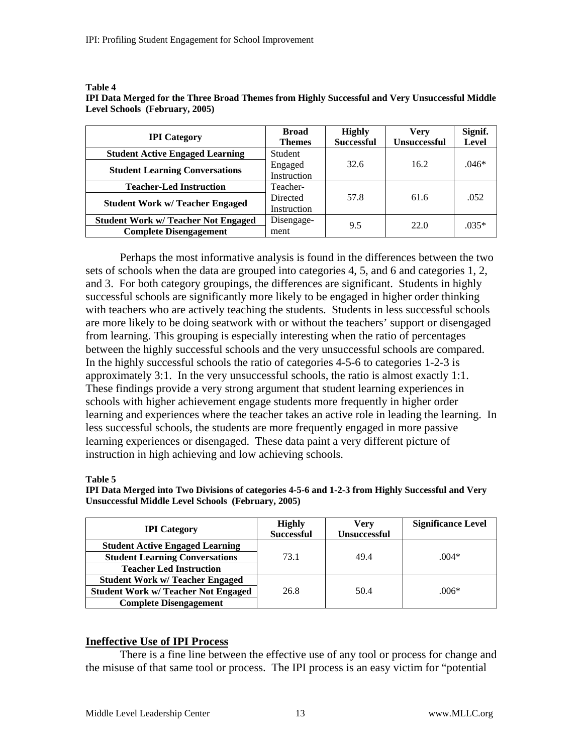| <b>IPI</b> Category                        | <b>Broad</b><br><b>Themes</b> | <b>Highly</b><br><b>Successful</b> | Verv<br><b>Unsuccessful</b> | Signif.<br>Level |
|--------------------------------------------|-------------------------------|------------------------------------|-----------------------------|------------------|
| <b>Student Active Engaged Learning</b>     | Student                       |                                    |                             |                  |
| <b>Student Learning Conversations</b>      | Engaged                       | 32.6                               | 16.2                        | $.046*$          |
|                                            | Instruction                   |                                    |                             |                  |
| <b>Teacher-Led Instruction</b>             | Teacher-                      |                                    |                             |                  |
| <b>Student Work w/ Teacher Engaged</b>     | Directed                      | 57.8                               | 61.6                        | .052             |
|                                            | Instruction                   |                                    |                             |                  |
| <b>Student Work w/ Teacher Not Engaged</b> | Disengage-                    | 9.5                                | 22.0                        | $.035*$          |
| <b>Complete Disengagement</b>              | ment                          |                                    |                             |                  |

#### **Table 4 IPI Data Merged for the Three Broad Themes from Highly Successful and Very Unsuccessful Middle Level Schools (February, 2005)**

Perhaps the most informative analysis is found in the differences between the two sets of schools when the data are grouped into categories 4, 5, and 6 and categories 1, 2, and 3. For both category groupings, the differences are significant. Students in highly successful schools are significantly more likely to be engaged in higher order thinking with teachers who are actively teaching the students. Students in less successful schools are more likely to be doing seatwork with or without the teachers' support or disengaged from learning. This grouping is especially interesting when the ratio of percentages between the highly successful schools and the very unsuccessful schools are compared. In the highly successful schools the ratio of categories 4-5-6 to categories 1-2-3 is approximately 3:1. In the very unsuccessful schools, the ratio is almost exactly 1:1. These findings provide a very strong argument that student learning experiences in schools with higher achievement engage students more frequently in higher order learning and experiences where the teacher takes an active role in leading the learning. In less successful schools, the students are more frequently engaged in more passive learning experiences or disengaged. These data paint a very different picture of instruction in high achieving and low achieving schools.

#### **Table 5**

| IPI Data Merged into Two Divisions of categories 4-5-6 and 1-2-3 from Highly Successful and Very |  |
|--------------------------------------------------------------------------------------------------|--|
| <b>Unsuccessful Middle Level Schools (February, 2005)</b>                                        |  |

| <b>IPI</b> Category                        | <b>Highly</b><br><b>Successful</b> | Verv<br><b>Unsuccessful</b> | <b>Significance Level</b> |
|--------------------------------------------|------------------------------------|-----------------------------|---------------------------|
| <b>Student Active Engaged Learning</b>     |                                    |                             |                           |
| <b>Student Learning Conversations</b>      | 73.1                               | 49.4                        | $.004*$                   |
| <b>Teacher Led Instruction</b>             |                                    |                             |                           |
| <b>Student Work w/ Teacher Engaged</b>     |                                    |                             |                           |
| <b>Student Work w/ Teacher Not Engaged</b> | 26.8                               | 50.4                        | $.006*$                   |
| <b>Complete Disengagement</b>              |                                    |                             |                           |

#### **Ineffective Use of IPI Process**

 There is a fine line between the effective use of any tool or process for change and the misuse of that same tool or process. The IPI process is an easy victim for "potential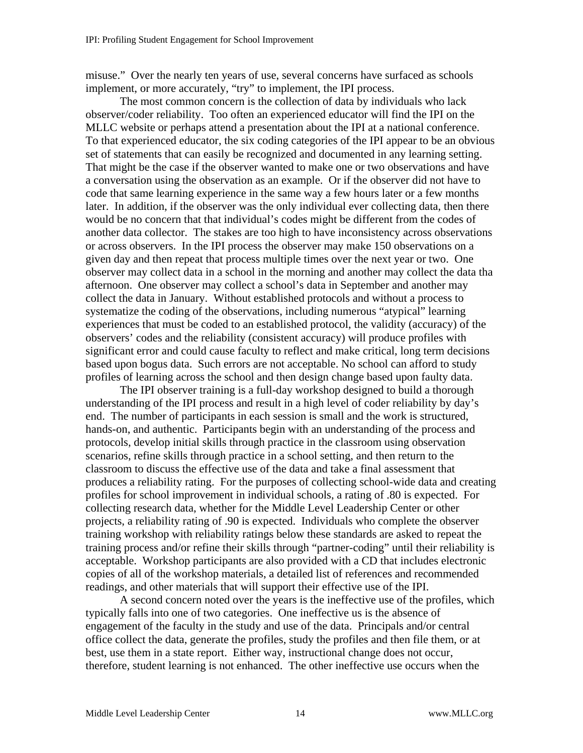misuse." Over the nearly ten years of use, several concerns have surfaced as schools implement, or more accurately, "try" to implement, the IPI process.

 The most common concern is the collection of data by individuals who lack observer/coder reliability. Too often an experienced educator will find the IPI on the MLLC website or perhaps attend a presentation about the IPI at a national conference. To that experienced educator, the six coding categories of the IPI appear to be an obvious set of statements that can easily be recognized and documented in any learning setting. That might be the case if the observer wanted to make one or two observations and have a conversation using the observation as an example. Or if the observer did not have to code that same learning experience in the same way a few hours later or a few months later. In addition, if the observer was the only individual ever collecting data, then there would be no concern that that individual's codes might be different from the codes of another data collector. The stakes are too high to have inconsistency across observations or across observers. In the IPI process the observer may make 150 observations on a given day and then repeat that process multiple times over the next year or two. One observer may collect data in a school in the morning and another may collect the data tha afternoon. One observer may collect a school's data in September and another may collect the data in January. Without established protocols and without a process to systematize the coding of the observations, including numerous "atypical" learning experiences that must be coded to an established protocol, the validity (accuracy) of the observers' codes and the reliability (consistent accuracy) will produce profiles with significant error and could cause faculty to reflect and make critical, long term decisions based upon bogus data. Such errors are not acceptable. No school can afford to study profiles of learning across the school and then design change based upon faulty data.

The IPI observer training is a full-day workshop designed to build a thorough understanding of the IPI process and result in a high level of coder reliability by day's end. The number of participants in each session is small and the work is structured, hands-on, and authentic. Participants begin with an understanding of the process and protocols, develop initial skills through practice in the classroom using observation scenarios, refine skills through practice in a school setting, and then return to the classroom to discuss the effective use of the data and take a final assessment that produces a reliability rating. For the purposes of collecting school-wide data and creating profiles for school improvement in individual schools, a rating of .80 is expected. For collecting research data, whether for the Middle Level Leadership Center or other projects, a reliability rating of .90 is expected. Individuals who complete the observer training workshop with reliability ratings below these standards are asked to repeat the training process and/or refine their skills through "partner-coding" until their reliability is acceptable. Workshop participants are also provided with a CD that includes electronic copies of all of the workshop materials, a detailed list of references and recommended readings, and other materials that will support their effective use of the IPI.

 A second concern noted over the years is the ineffective use of the profiles, which typically falls into one of two categories. One ineffective us is the absence of engagement of the faculty in the study and use of the data. Principals and/or central office collect the data, generate the profiles, study the profiles and then file them, or at best, use them in a state report. Either way, instructional change does not occur, therefore, student learning is not enhanced. The other ineffective use occurs when the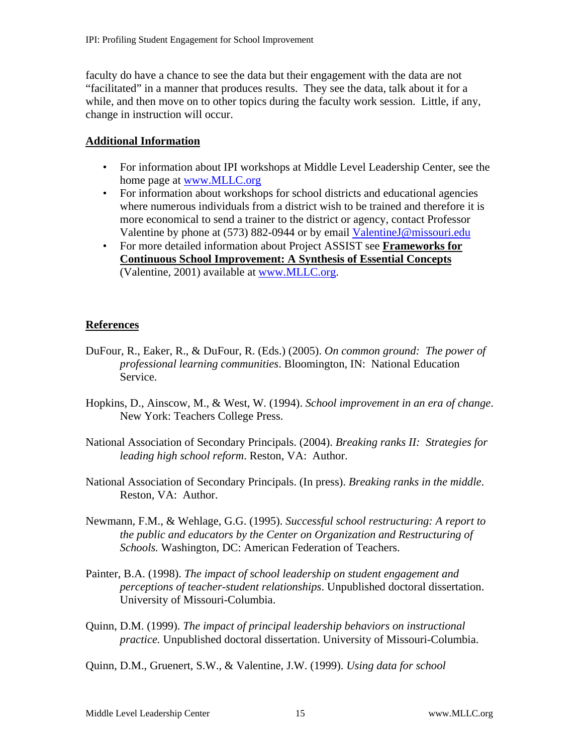faculty do have a chance to see the data but their engagement with the data are not "facilitated" in a manner that produces results. They see the data, talk about it for a while, and then move on to other topics during the faculty work session. Little, if any, change in instruction will occur.

#### **Additional Information**

- For information about IPI workshops at Middle Level Leadership Center, see the home page at [www.MLLC.org](http://www.mllc.org/)
- For information about workshops for school districts and educational agencies where numerous individuals from a district wish to be trained and therefore it is more economical to send a trainer to the district or agency, contact Professor Valentine by phone at (573) 882-0944 or by email [ValentineJ@missouri.edu](mailto:ValentineJ@missouri.edu)
- For more detailed information about Project ASSIST see **Frameworks for Continuous School Improvement: A Synthesis of Essential Concepts** (Valentine, 2001) available at [www.MLLC.org.](http://www.mllc.org/)

## **References**

- DuFour, R., Eaker, R., & DuFour, R. (Eds.) (2005). *On common ground: The power of professional learning communities*. Bloomington, IN: National Education Service.
- Hopkins, D., Ainscow, M., & West, W. (1994). *School improvement in an era of change*. New York: Teachers College Press.
- National Association of Secondary Principals. (2004). *Breaking ranks II: Strategies for leading high school reform*. Reston, VA: Author.
- National Association of Secondary Principals. (In press). *Breaking ranks in the middle*. Reston, VA: Author.
- Newmann, F.M., & Wehlage, G.G. (1995). *Successful school restructuring: A report to the public and educators by the Center on Organization and Restructuring of Schools.* Washington, DC: American Federation of Teachers.
- Painter, B.A. (1998). *The impact of school leadership on student engagement and perceptions of teacher-student relationships*. Unpublished doctoral dissertation. University of Missouri-Columbia.
- Quinn, D.M. (1999). *The impact of principal leadership behaviors on instructional practice.* Unpublished doctoral dissertation. University of Missouri-Columbia.
- Quinn, D.M., Gruenert, S.W., & Valentine, J.W. (1999). *Using data for school*